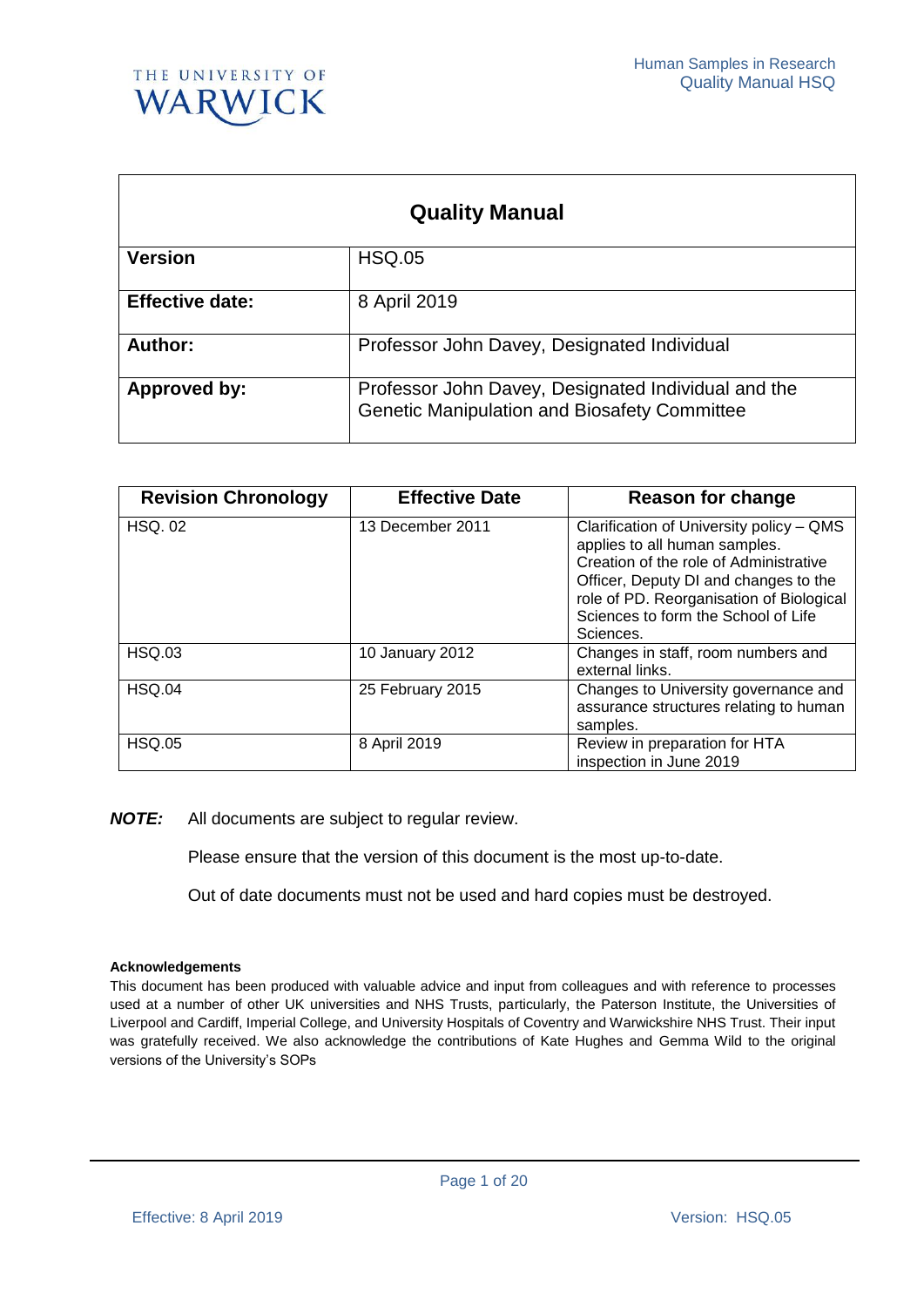

| <b>Quality Manual</b>  |                                                                                                            |  |
|------------------------|------------------------------------------------------------------------------------------------------------|--|
| <b>Version</b>         | <b>HSQ.05</b>                                                                                              |  |
| <b>Effective date:</b> | 8 April 2019                                                                                               |  |
| Author:                | Professor John Davey, Designated Individual                                                                |  |
| Approved by:           | Professor John Davey, Designated Individual and the<br><b>Genetic Manipulation and Biosafety Committee</b> |  |

| <b>Revision Chronology</b> | <b>Effective Date</b> | Reason for change                                                                                                                                                                                                                                            |
|----------------------------|-----------------------|--------------------------------------------------------------------------------------------------------------------------------------------------------------------------------------------------------------------------------------------------------------|
| <b>HSQ. 02</b>             | 13 December 2011      | Clarification of University policy – QMS<br>applies to all human samples.<br>Creation of the role of Administrative<br>Officer, Deputy DI and changes to the<br>role of PD. Reorganisation of Biological<br>Sciences to form the School of Life<br>Sciences. |
| <b>HSQ.03</b>              | 10 January 2012       | Changes in staff, room numbers and<br>external links.                                                                                                                                                                                                        |
| <b>HSQ.04</b>              | 25 February 2015      | Changes to University governance and<br>assurance structures relating to human<br>samples.                                                                                                                                                                   |
| <b>HSQ.05</b>              | 8 April 2019          | Review in preparation for HTA<br>inspection in June 2019                                                                                                                                                                                                     |

*NOTE:* All documents are subject to regular review.

Please ensure that the version of this document is the most up-to-date.

Out of date documents must not be used and hard copies must be destroyed.

#### **Acknowledgements**

This document has been produced with valuable advice and input from colleagues and with reference to processes used at a number of other UK universities and NHS Trusts, particularly, the Paterson Institute, the Universities of Liverpool and Cardiff, Imperial College, and University Hospitals of Coventry and Warwickshire NHS Trust. Their input was gratefully received. We also acknowledge the contributions of Kate Hughes and Gemma Wild to the original versions of the University's SOPs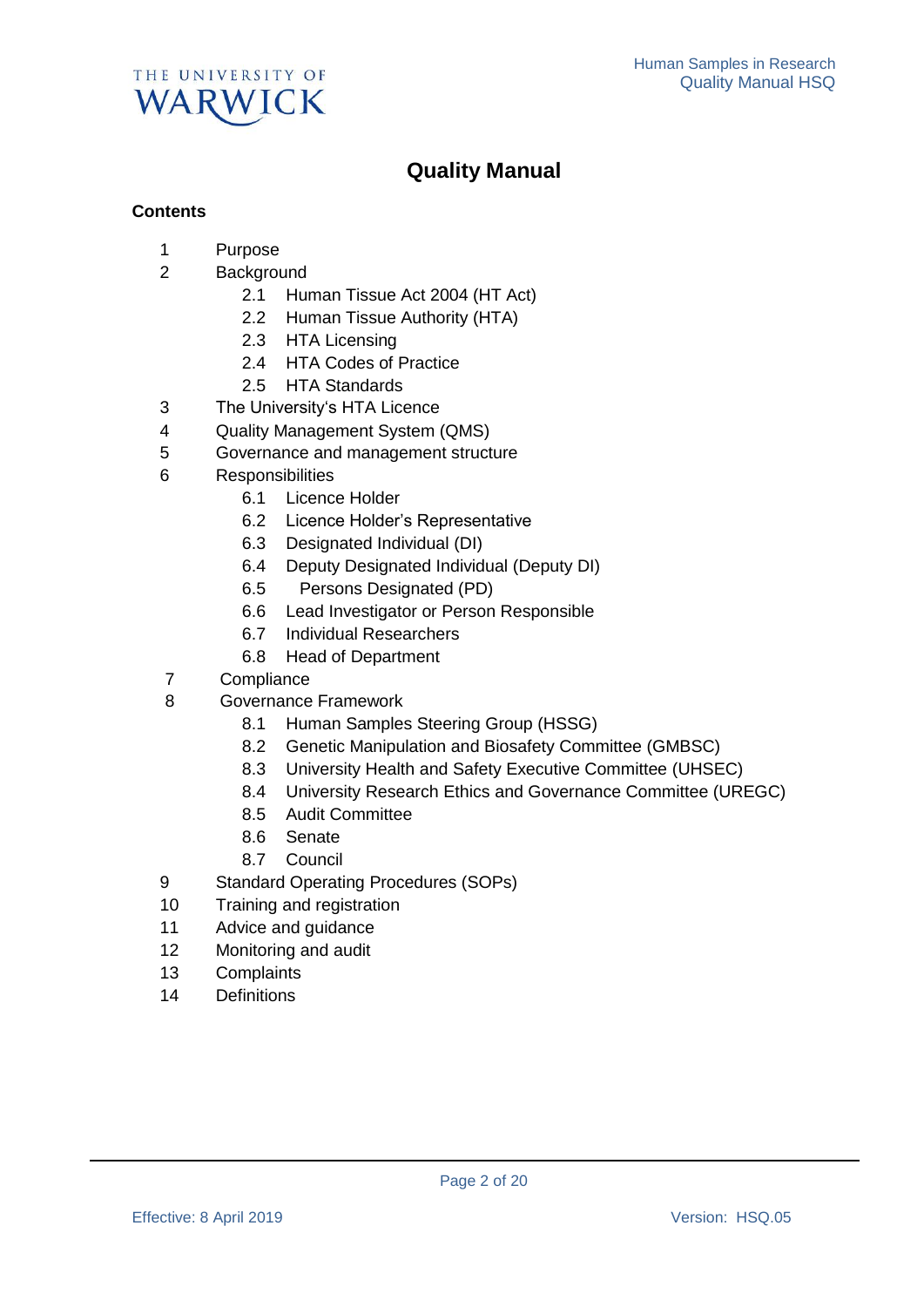

# **Quality Manual**

## **Contents**

- 1 Purpose
- 2 Background
	- 2.1 Human Tissue Act 2004 (HT Act)
	- 2.2 Human Tissue Authority (HTA)
	- 2.3 HTA Licensing
	- 2.4 HTA Codes of Practice
	- 2.5 HTA Standards
- 3 The University's HTA Licence
- 4 Quality Management System (QMS)
- 5 Governance and management structure
- 6 Responsibilities
	- 6.1 Licence Holder
	- 6.2 Licence Holder's Representative
	- 6.3 Designated Individual (DI)
	- 6.4 Deputy Designated Individual (Deputy DI)
	- 6.5 Persons Designated (PD)
	- 6.6 Lead Investigator or Person Responsible
	- 6.7 Individual Researchers
	- 6.8 Head of Department
- 7 Compliance
- 8 Governance Framework
	- 8.1 Human Samples Steering Group (HSSG)
	- 8.2 Genetic Manipulation and Biosafety Committee (GMBSC)
	- 8.3 University Health and Safety Executive Committee (UHSEC)
	- 8.4 University Research Ethics and Governance Committee (UREGC)
	- 8.5 Audit Committee
	- 8.6 Senate
	- 8.7 Council
- 9 Standard Operating Procedures (SOPs)
- 10 Training and registration
- 11 Advice and guidance
- 12 Monitoring and audit
- 13 Complaints
- 14 Definitions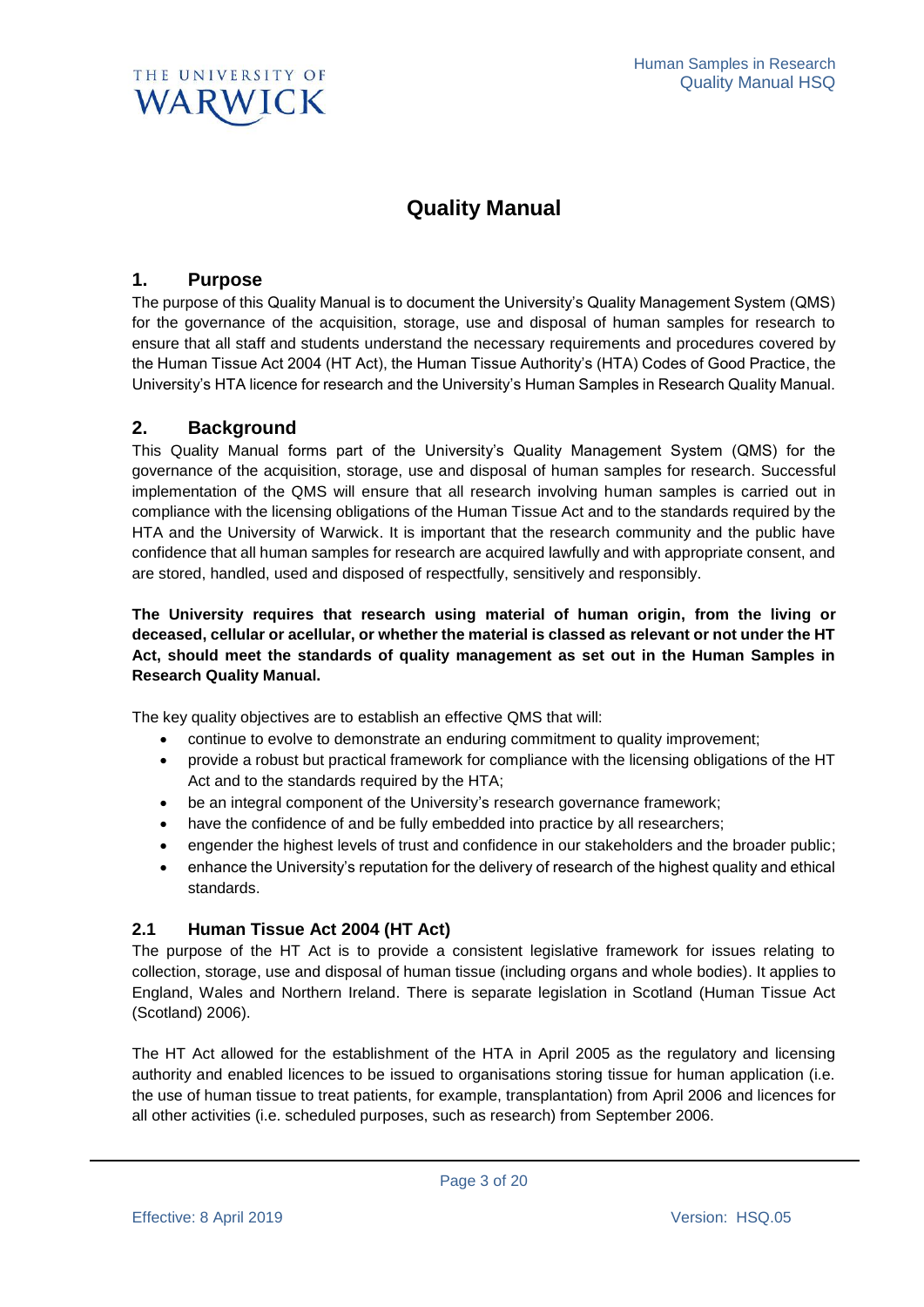

# **Quality Manual**

## **1. Purpose**

The purpose of this Quality Manual is to document the University's Quality Management System (QMS) for the governance of the acquisition, storage, use and disposal of human samples for research to ensure that all staff and students understand the necessary requirements and procedures covered by the Human Tissue Act 2004 (HT Act), the Human Tissue Authority's (HTA) Codes of Good Practice, the University's HTA licence for research and the University's Human Samples in Research Quality Manual.

## **2. Background**

This Quality Manual forms part of the University's Quality Management System (QMS) for the governance of the acquisition, storage, use and disposal of human samples for research. Successful implementation of the QMS will ensure that all research involving human samples is carried out in compliance with the licensing obligations of the Human Tissue Act and to the standards required by the HTA and the University of Warwick. It is important that the research community and the public have confidence that all human samples for research are acquired lawfully and with appropriate consent, and are stored, handled, used and disposed of respectfully, sensitively and responsibly.

**The University requires that research using material of human origin, from the living or deceased, cellular or acellular, or whether the material is classed as relevant or not under the HT Act, should meet the standards of quality management as set out in the Human Samples in Research Quality Manual.**

The key quality objectives are to establish an effective QMS that will:

- continue to evolve to demonstrate an enduring commitment to quality improvement;
- provide a robust but practical framework for compliance with the licensing obligations of the HT Act and to the standards required by the HTA;
- be an integral component of the University's research governance framework;
- have the confidence of and be fully embedded into practice by all researchers;
- engender the highest levels of trust and confidence in our stakeholders and the broader public;
- enhance the University's reputation for the delivery of research of the highest quality and ethical standards.

## **2.1 Human Tissue Act 2004 (HT Act)**

The purpose of the HT Act is to provide a consistent legislative framework for issues relating to collection, storage, use and disposal of human tissue (including organs and whole bodies). It applies to England, Wales and Northern Ireland. There is separate legislation in Scotland (Human Tissue Act (Scotland) 2006).

The HT Act allowed for the establishment of the HTA in April 2005 as the regulatory and licensing authority and enabled licences to be issued to organisations storing tissue for human application (i.e. the use of human tissue to treat patients, for example, transplantation) from April 2006 and licences for all other activities (i.e. scheduled purposes, such as research) from September 2006.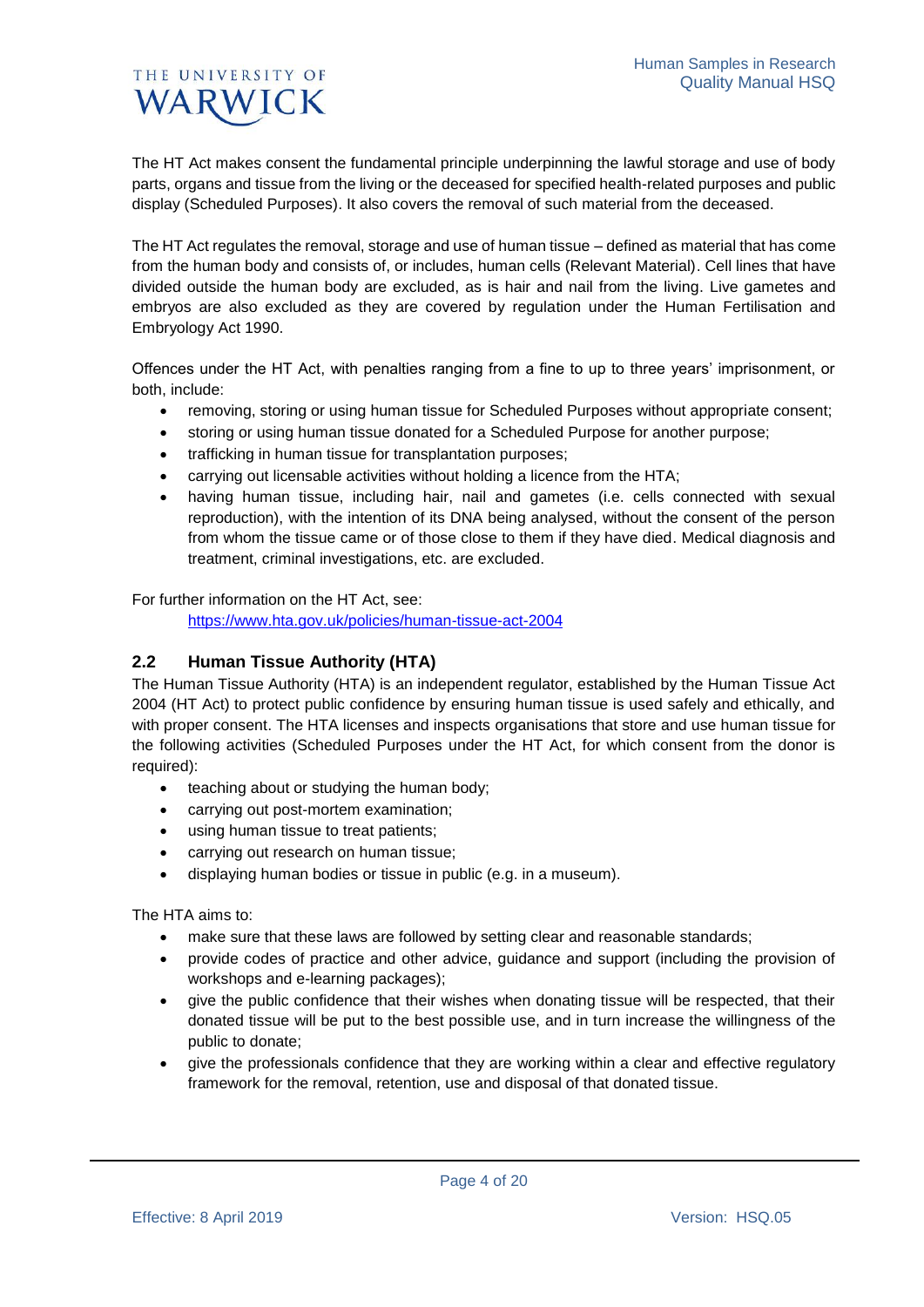The HT Act makes consent the fundamental principle underpinning the lawful storage and use of body parts, organs and tissue from the living or the deceased for specified health-related purposes and public display (Scheduled Purposes). It also covers the removal of such material from the deceased.

The HT Act regulates the removal, storage and use of human tissue – defined as material that has come from the human body and consists of, or includes, human cells (Relevant Material). Cell lines that have divided outside the human body are excluded, as is hair and nail from the living. Live gametes and embryos are also excluded as they are covered by regulation under the Human Fertilisation and Embryology Act 1990.

Offences under the HT Act, with penalties ranging from a fine to up to three years' imprisonment, or both, include:

- removing, storing or using human tissue for Scheduled Purposes without appropriate consent;
- storing or using human tissue donated for a Scheduled Purpose for another purpose;
- trafficking in human tissue for transplantation purposes;
- carrying out licensable activities without holding a licence from the HTA;
- having human tissue, including hair, nail and gametes (i.e. cells connected with sexual reproduction), with the intention of its DNA being analysed, without the consent of the person from whom the tissue came or of those close to them if they have died. Medical diagnosis and treatment, criminal investigations, etc. are excluded.

For further information on the HT Act, see:

<https://www.hta.gov.uk/policies/human-tissue-act-2004>

## **2.2 Human Tissue Authority (HTA)**

The Human Tissue Authority (HTA) is an independent regulator, established by the Human Tissue Act 2004 (HT Act) to protect public confidence by ensuring human tissue is used safely and ethically, and with proper consent. The HTA licenses and inspects organisations that store and use human tissue for the following activities (Scheduled Purposes under the HT Act, for which consent from the donor is required):

- teaching about or studying the human body;
- carrying out post-mortem examination;
- using human tissue to treat patients;
- carrying out research on human tissue;
- displaying human bodies or tissue in public (e.g. in a museum).

The HTA aims to:

- make sure that these laws are followed by setting clear and reasonable standards;
- provide codes of practice and other advice, guidance and support (including the provision of workshops and e-learning packages);
- give the public confidence that their wishes when donating tissue will be respected, that their donated tissue will be put to the best possible use, and in turn increase the willingness of the public to donate;
- give the professionals confidence that they are working within a clear and effective regulatory framework for the removal, retention, use and disposal of that donated tissue.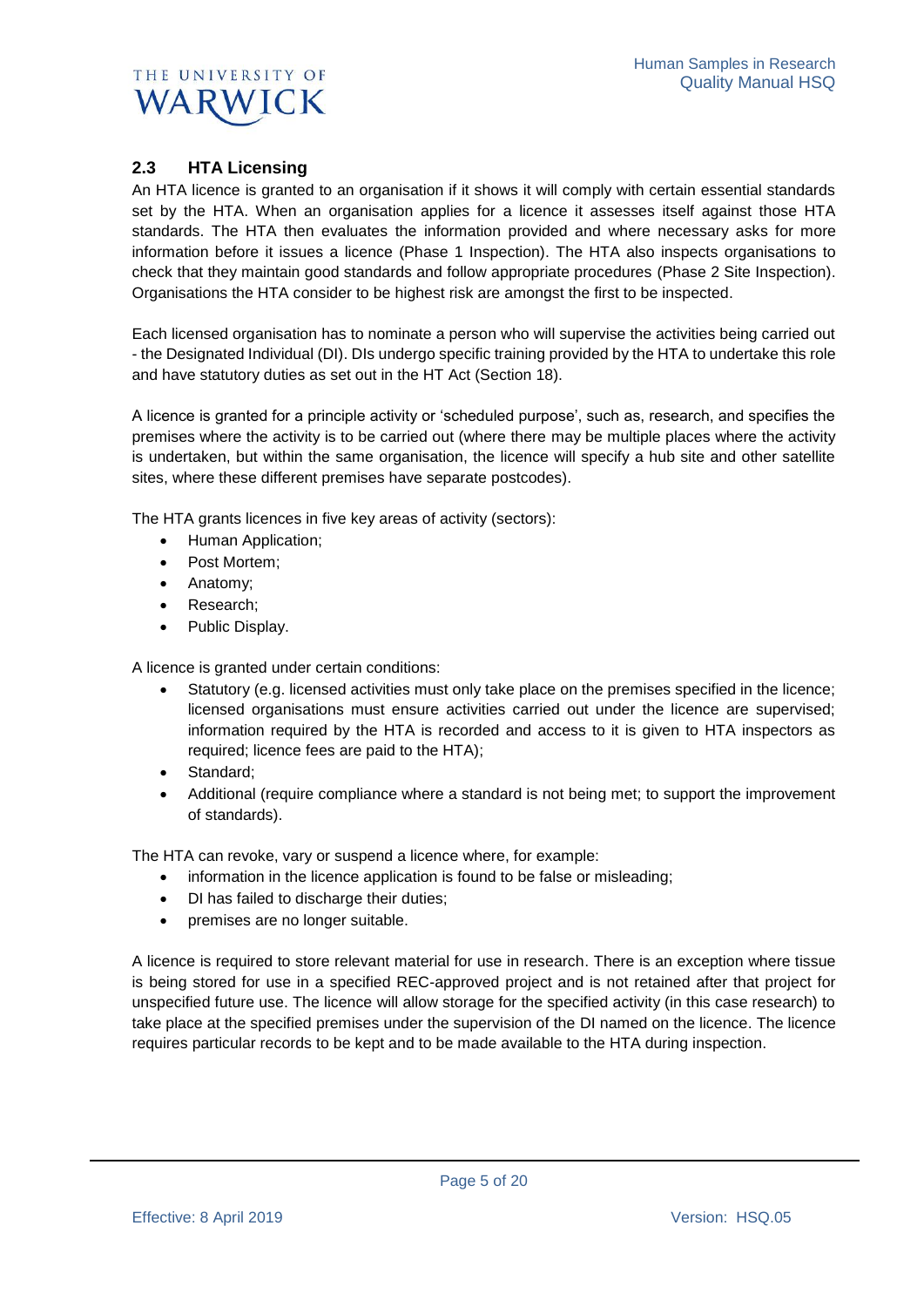

## **2.3 HTA Licensing**

An HTA licence is granted to an organisation if it shows it will comply with certain essential standards set by the HTA. When an organisation applies for a licence it assesses itself against those HTA standards. The HTA then evaluates the information provided and where necessary asks for more information before it issues a licence (Phase 1 Inspection). The HTA also inspects organisations to check that they maintain good standards and follow appropriate procedures (Phase 2 Site Inspection). Organisations the HTA consider to be highest risk are amongst the first to be inspected.

Each licensed organisation has to nominate a person who will supervise the activities being carried out - the Designated Individual (DI). DIs undergo specific training provided by the HTA to undertake this role and have statutory duties as set out in the HT Act (Section 18).

A licence is granted for a principle activity or 'scheduled purpose', such as, research, and specifies the premises where the activity is to be carried out (where there may be multiple places where the activity is undertaken, but within the same organisation, the licence will specify a hub site and other satellite sites, where these different premises have separate postcodes).

The HTA grants licences in five key areas of activity (sectors):

- Human Application;
- Post Mortem;
- Anatomy;
- Research:
- Public Display.

A licence is granted under certain conditions:

- Statutory (e.g. licensed activities must only take place on the premises specified in the licence; licensed organisations must ensure activities carried out under the licence are supervised; information required by the HTA is recorded and access to it is given to HTA inspectors as required; licence fees are paid to the HTA);
- Standard:
- Additional (require compliance where a standard is not being met; to support the improvement of standards).

The HTA can revoke, vary or suspend a licence where, for example:

- information in the licence application is found to be false or misleading;
- DI has failed to discharge their duties;
- premises are no longer suitable.

A licence is required to store relevant material for use in research. There is an exception where tissue is being stored for use in a specified REC-approved project and is not retained after that project for unspecified future use. The licence will allow storage for the specified activity (in this case research) to take place at the specified premises under the supervision of the DI named on the licence. The licence requires particular records to be kept and to be made available to the HTA during inspection.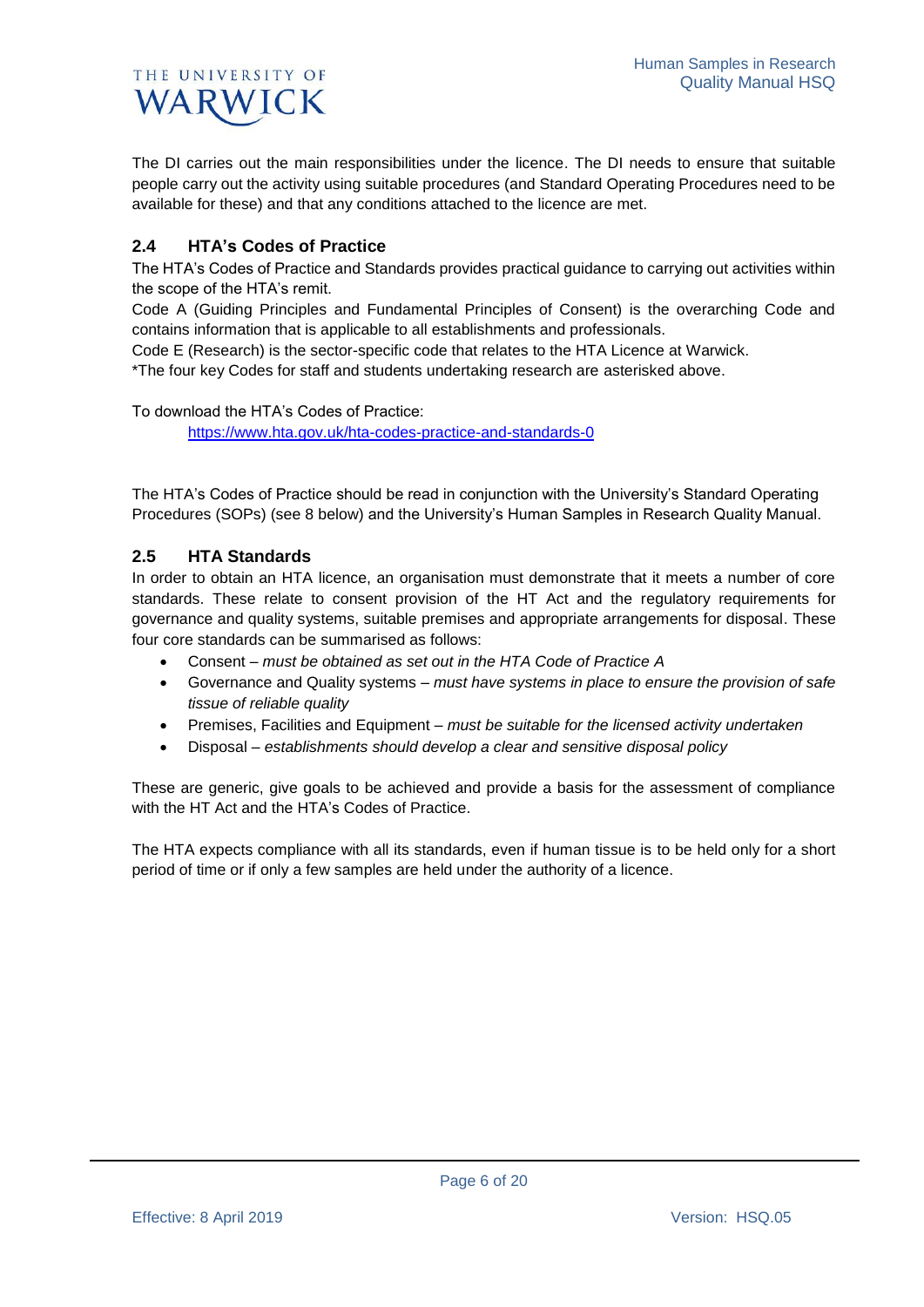The DI carries out the main responsibilities under the licence. The DI needs to ensure that suitable people carry out the activity using suitable procedures (and Standard Operating Procedures need to be available for these) and that any conditions attached to the licence are met.

## **2.4 HTA's Codes of Practice**

The HTA's Codes of Practice and Standards provides practical guidance to carrying out activities within the scope of the HTA's remit.

Code A (Guiding Principles and Fundamental Principles of Consent) is the overarching Code and contains information that is applicable to all establishments and professionals.

Code E (Research) is the sector-specific code that relates to the HTA Licence at Warwick. \*The four key Codes for staff and students undertaking research are asterisked above.

To download the HTA's Codes of Practice: <https://www.hta.gov.uk/hta-codes-practice-and-standards-0>

The HTA's Codes of Practice should be read in conjunction with the University's Standard Operating Procedures (SOPs) (see 8 below) and the University's Human Samples in Research Quality Manual.

## **2.5 HTA Standards**

In order to obtain an HTA licence, an organisation must demonstrate that it meets a number of core standards. These relate to consent provision of the HT Act and the regulatory requirements for governance and quality systems, suitable premises and appropriate arrangements for disposal. These four core standards can be summarised as follows:

- Consent *must be obtained as set out in the HTA Code of Practice A*
- Governance and Quality systems *must have systems in place to ensure the provision of safe tissue of reliable quality*
- Premises, Facilities and Equipment *must be suitable for the licensed activity undertaken*
- Disposal *establishments should develop a clear and sensitive disposal policy*

These are generic, give goals to be achieved and provide a basis for the assessment of compliance with the HT Act and the HTA's Codes of Practice.

The HTA expects compliance with all its standards, even if human tissue is to be held only for a short period of time or if only a few samples are held under the authority of a licence.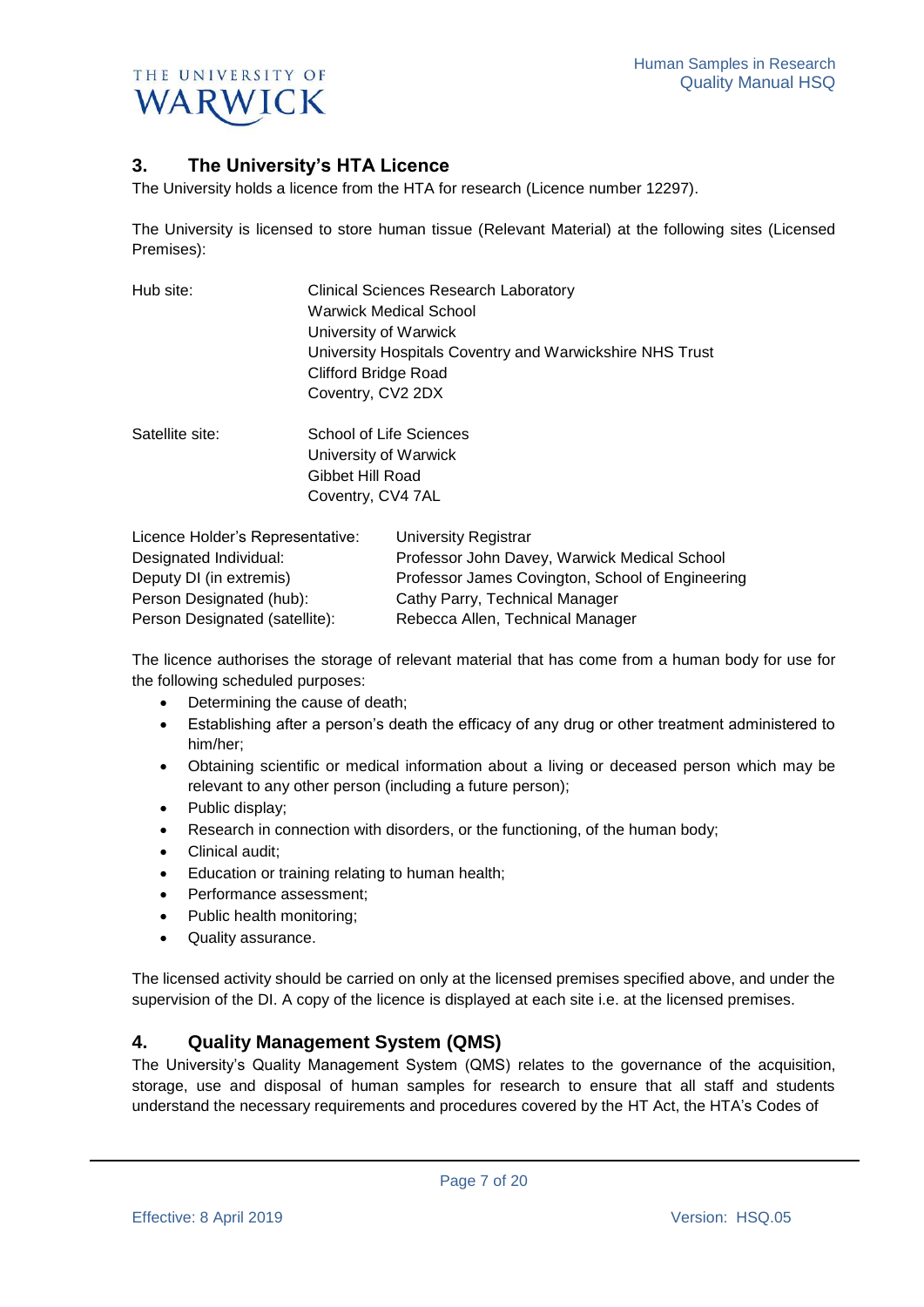

## **3. The University's HTA Licence**

The University holds a licence from the HTA for research (Licence number 12297).

The University is licensed to store human tissue (Relevant Material) at the following sites (Licensed Premises):

| Hub site:             | <b>Clinical Sciences Research Laboratory</b><br>Warwick Medical School<br>University of Warwick |                         |  |
|-----------------------|-------------------------------------------------------------------------------------------------|-------------------------|--|
|                       |                                                                                                 |                         |  |
|                       |                                                                                                 |                         |  |
|                       | <b>Clifford Bridge Road</b>                                                                     |                         |  |
|                       | Coventry, CV2 2DX                                                                               |                         |  |
|                       | Satellite site:                                                                                 | School of Life Sciences |  |
| University of Warwick |                                                                                                 |                         |  |
| Gibbet Hill Road      |                                                                                                 |                         |  |
| Coventry, CV4 7AL     |                                                                                                 |                         |  |
|                       |                                                                                                 |                         |  |

| Licence Holder's Representative: | University Registrar                             |
|----------------------------------|--------------------------------------------------|
| Designated Individual:           | Professor John Davey, Warwick Medical School     |
| Deputy DI (in extremis)          | Professor James Covington, School of Engineering |
| Person Designated (hub):         | Cathy Parry, Technical Manager                   |
| Person Designated (satellite):   | Rebecca Allen, Technical Manager                 |

The licence authorises the storage of relevant material that has come from a human body for use for the following scheduled purposes:

- Determining the cause of death;
- Establishing after a person's death the efficacy of any drug or other treatment administered to him/her;
- Obtaining scientific or medical information about a living or deceased person which may be relevant to any other person (including a future person);
- Public display;
- Research in connection with disorders, or the functioning, of the human body;
- Clinical audit;
- **Education or training relating to human health;**
- Performance assessment:
- Public health monitoring;
- Quality assurance.

The licensed activity should be carried on only at the licensed premises specified above, and under the supervision of the DI. A copy of the licence is displayed at each site i.e. at the licensed premises.

## **4. Quality Management System (QMS)**

The University's Quality Management System (QMS) relates to the governance of the acquisition, storage, use and disposal of human samples for research to ensure that all staff and students understand the necessary requirements and procedures covered by the HT Act, the HTA's Codes of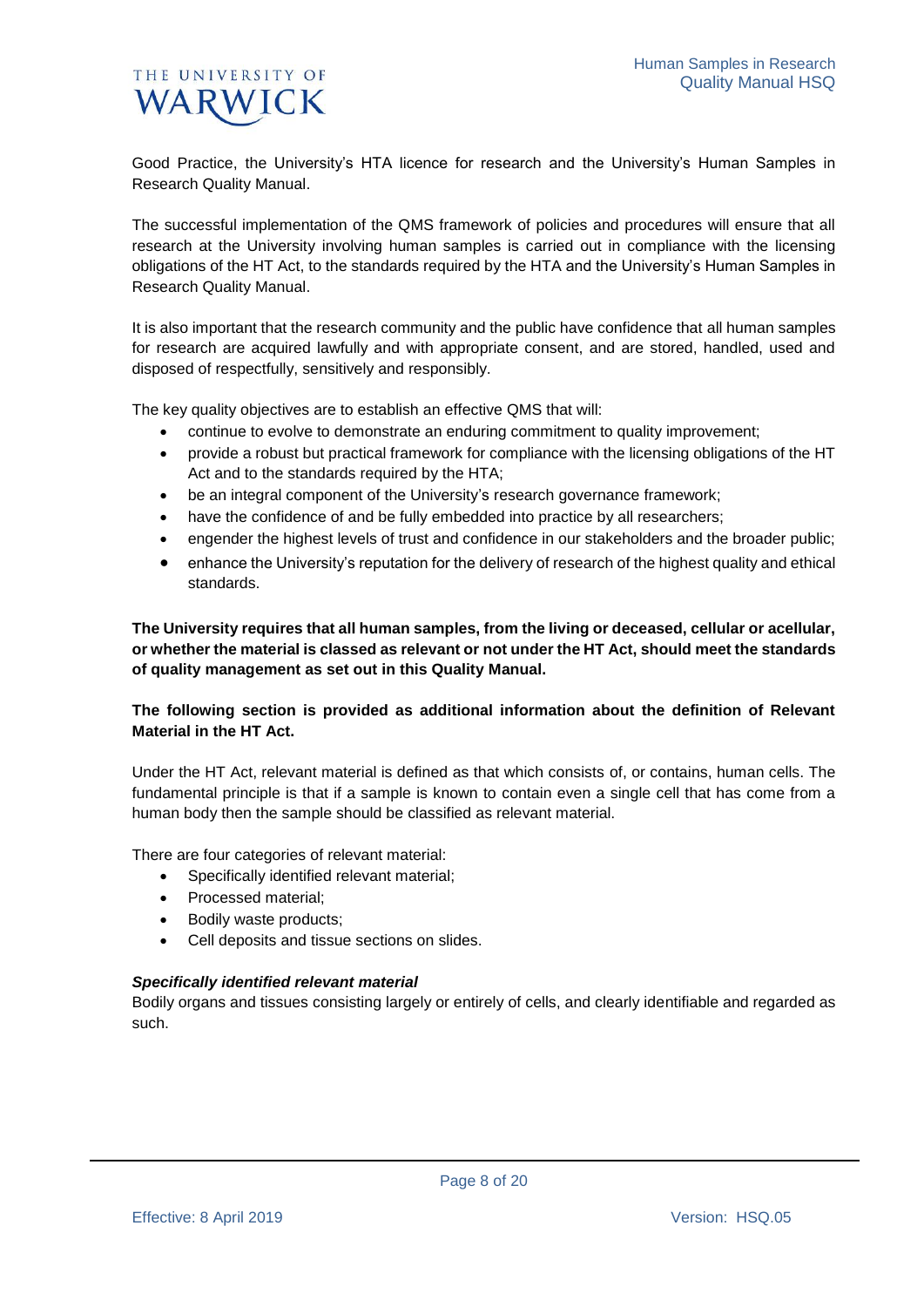Good Practice, the University's HTA licence for research and the University's Human Samples in Research Quality Manual.

The successful implementation of the QMS framework of policies and procedures will ensure that all research at the University involving human samples is carried out in compliance with the licensing obligations of the HT Act, to the standards required by the HTA and the University's Human Samples in Research Quality Manual.

It is also important that the research community and the public have confidence that all human samples for research are acquired lawfully and with appropriate consent, and are stored, handled, used and disposed of respectfully, sensitively and responsibly.

The key quality objectives are to establish an effective QMS that will:

- continue to evolve to demonstrate an enduring commitment to quality improvement;
- provide a robust but practical framework for compliance with the licensing obligations of the HT Act and to the standards required by the HTA;
- be an integral component of the University's research governance framework;
- have the confidence of and be fully embedded into practice by all researchers;
- engender the highest levels of trust and confidence in our stakeholders and the broader public;
- enhance the University's reputation for the delivery of research of the highest quality and ethical standards.

**The University requires that all human samples, from the living or deceased, cellular or acellular, or whether the material is classed as relevant or not under the HT Act, should meet the standards of quality management as set out in this Quality Manual.**

### **The following section is provided as additional information about the definition of Relevant Material in the HT Act.**

Under the HT Act, relevant material is defined as that which consists of, or contains, human cells. The fundamental principle is that if a sample is known to contain even a single cell that has come from a human body then the sample should be classified as relevant material.

There are four categories of relevant material:

- Specifically identified relevant material;
- Processed material:
- Bodily waste products:
- Cell deposits and tissue sections on slides.

#### *Specifically identified relevant material*

Bodily organs and tissues consisting largely or entirely of cells, and clearly identifiable and regarded as such.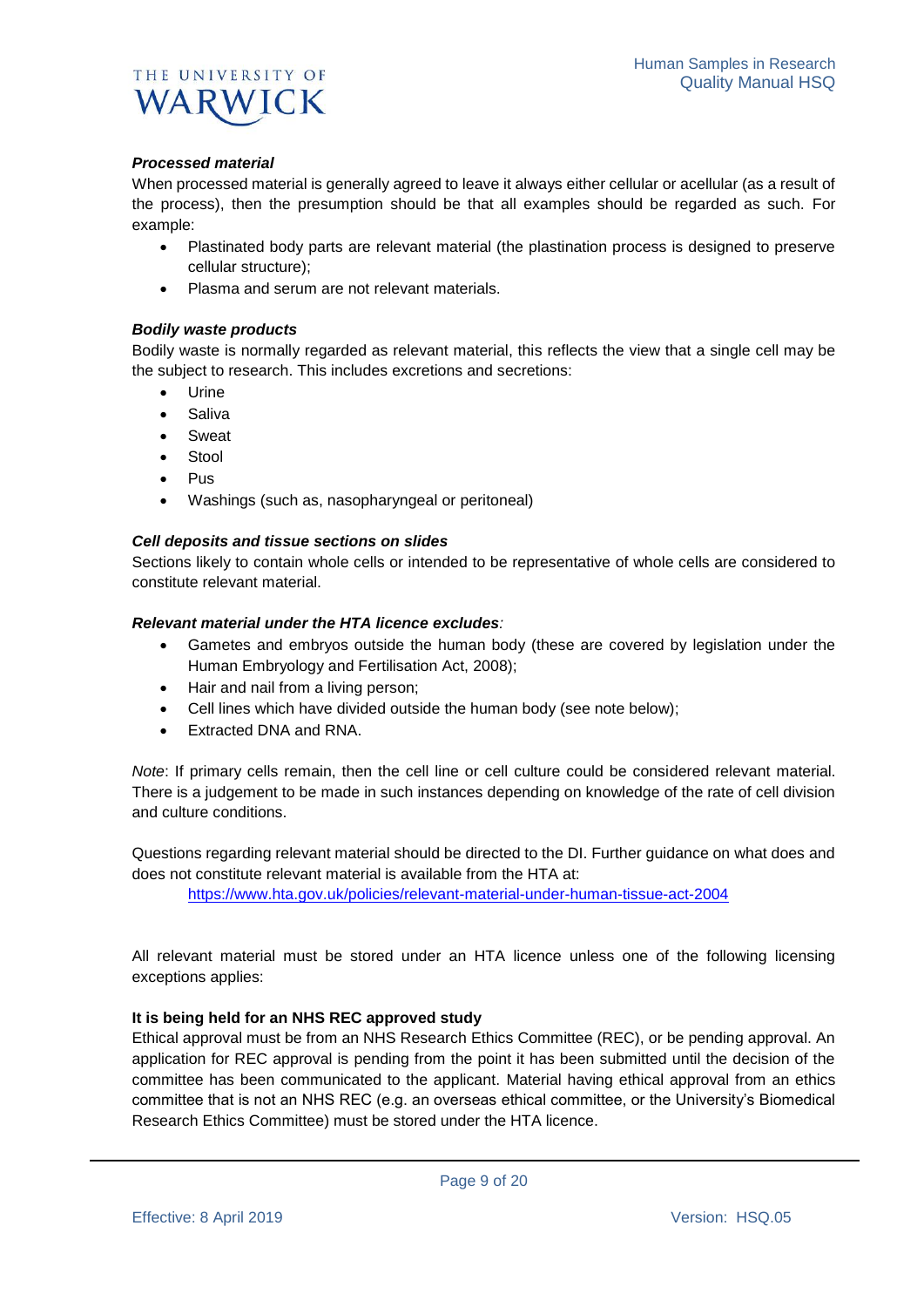

#### *Processed material*

When processed material is generally agreed to leave it always either cellular or acellular (as a result of the process), then the presumption should be that all examples should be regarded as such. For example:

- Plastinated body parts are relevant material (the plastination process is designed to preserve cellular structure);
- Plasma and serum are not relevant materials.

#### *Bodily waste products*

Bodily waste is normally regarded as relevant material, this reflects the view that a single cell may be the subject to research. This includes excretions and secretions:

- Urine
- Saliva
- Sweat
- Stool
- Pus
- Washings (such as, nasopharyngeal or peritoneal)

#### *Cell deposits and tissue sections on slides*

Sections likely to contain whole cells or intended to be representative of whole cells are considered to constitute relevant material.

#### *Relevant material under the HTA licence excludes:*

- Gametes and embryos outside the human body (these are covered by legislation under the Human Embryology and Fertilisation Act, 2008);
- Hair and nail from a living person;
- Cell lines which have divided outside the human body (see note below);
- Extracted DNA and RNA.

*Note*: If primary cells remain, then the cell line or cell culture could be considered relevant material. There is a judgement to be made in such instances depending on knowledge of the rate of cell division and culture conditions.

Questions regarding relevant material should be directed to the DI. Further guidance on what does and does not constitute relevant material is available from the HTA at:

<https://www.hta.gov.uk/policies/relevant-material-under-human-tissue-act-2004>

All relevant material must be stored under an HTA licence unless one of the following licensing exceptions applies:

#### **It is being held for an NHS REC approved study**

Ethical approval must be from an NHS Research Ethics Committee (REC), or be pending approval. An application for REC approval is pending from the point it has been submitted until the decision of the committee has been communicated to the applicant. Material having ethical approval from an ethics committee that is not an NHS REC (e.g. an overseas ethical committee, or the University's Biomedical Research Ethics Committee) must be stored under the HTA licence.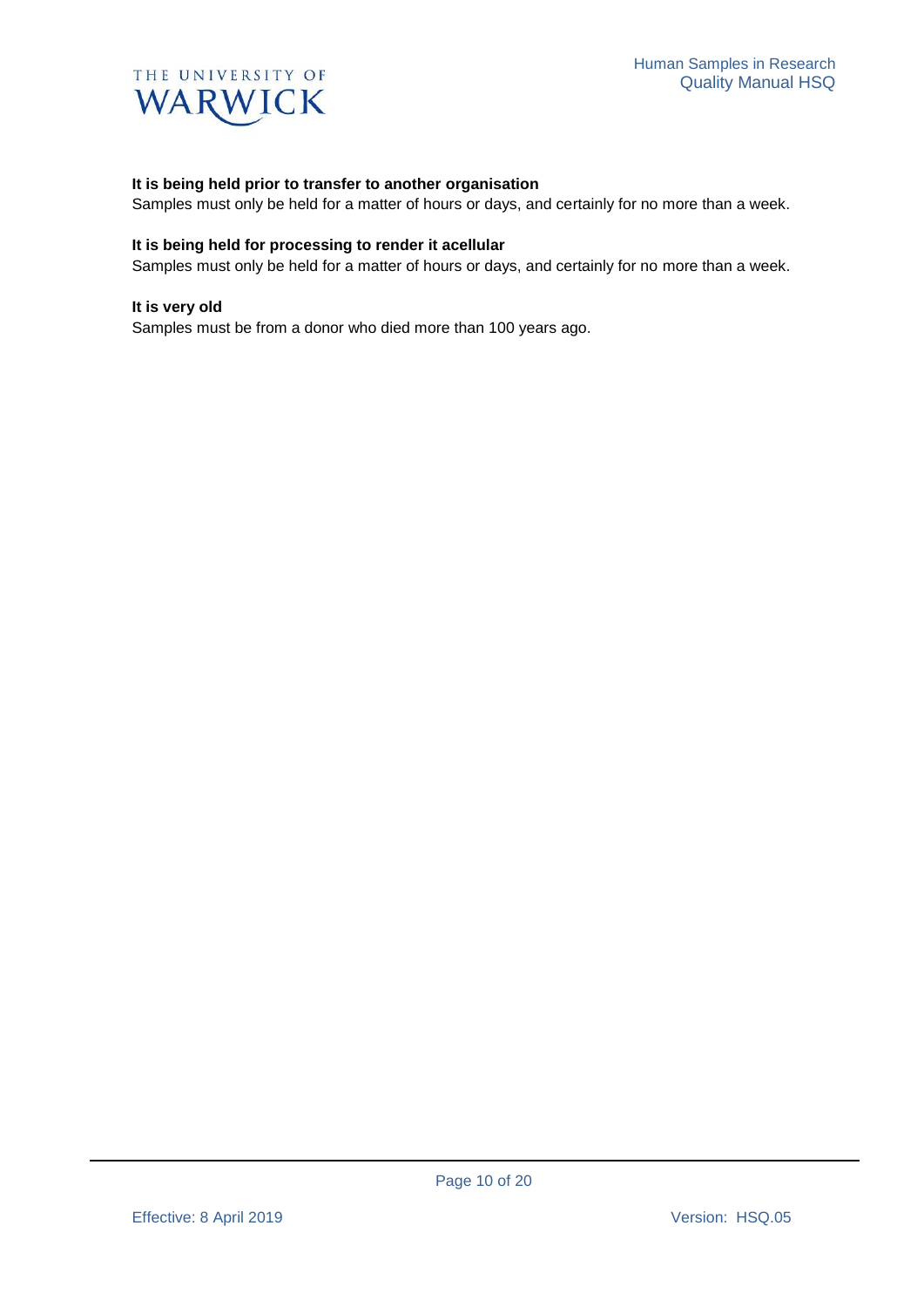

#### **It is being held prior to transfer to another organisation**

Samples must only be held for a matter of hours or days, and certainly for no more than a week.

#### **It is being held for processing to render it acellular**

Samples must only be held for a matter of hours or days, and certainly for no more than a week.

#### **It is very old**

Samples must be from a donor who died more than 100 years ago.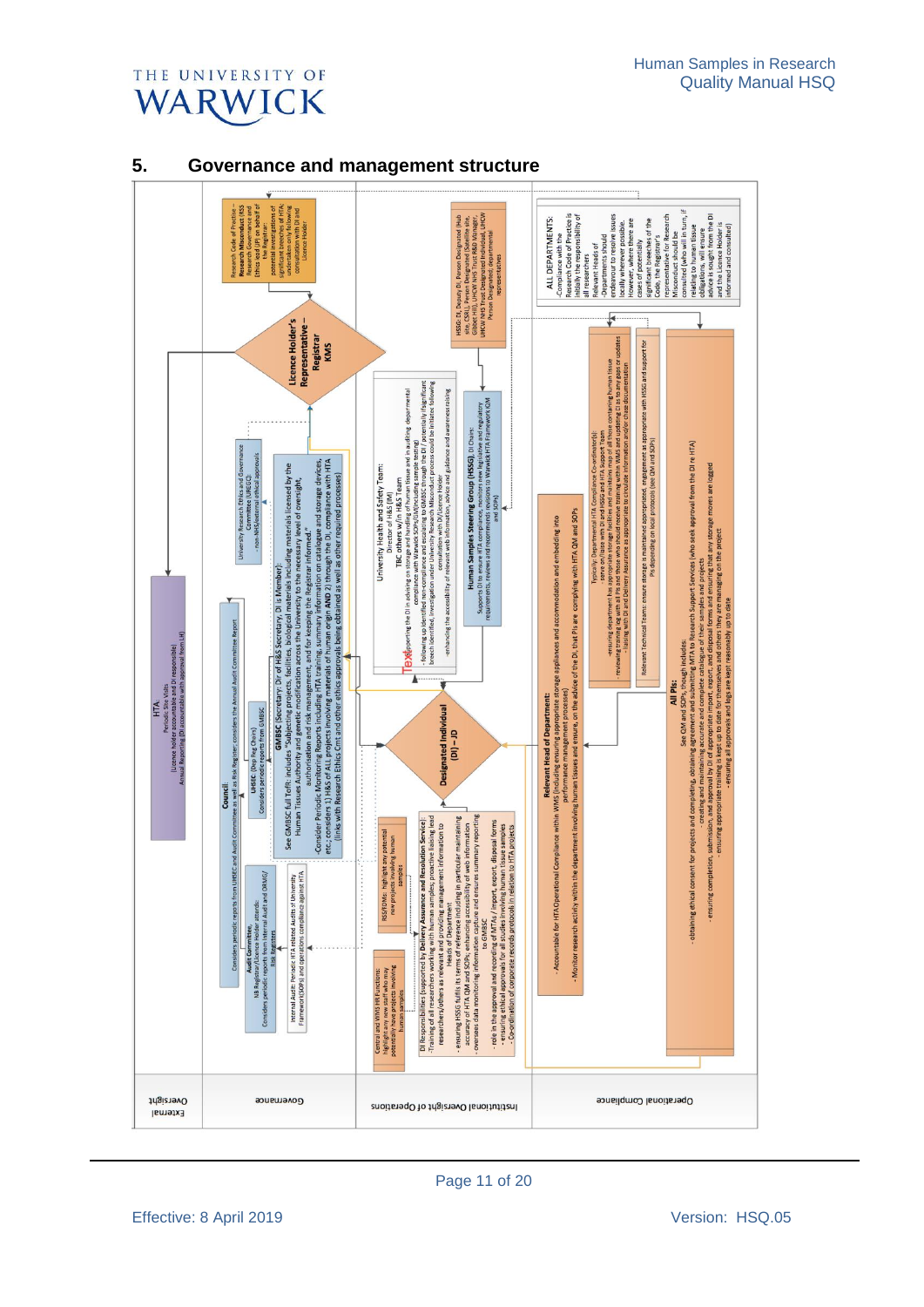



## **5. Governance and management structure**

Page 11 of 20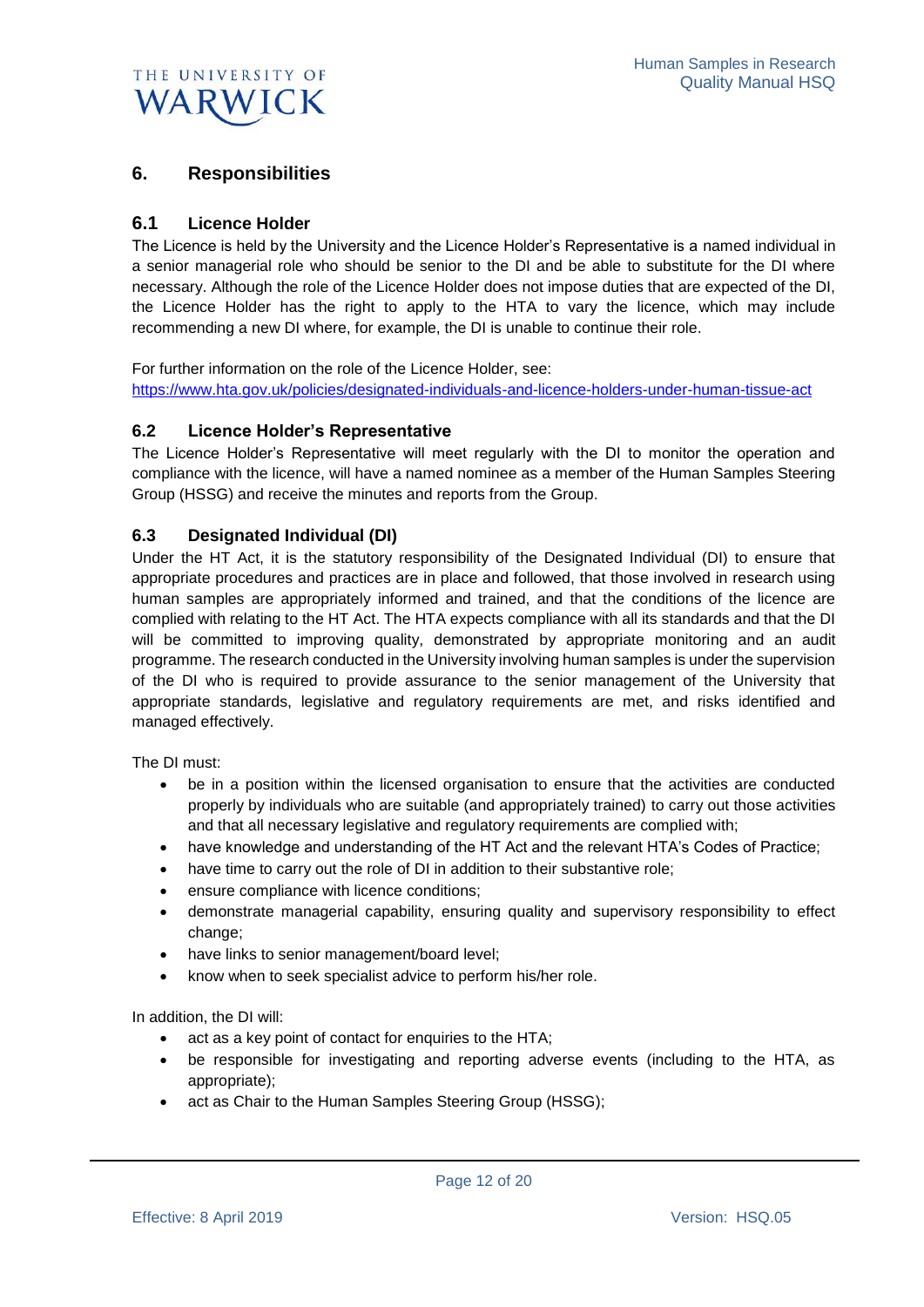## **6. Responsibilities**

## **6.1 Licence Holder**

The Licence is held by the University and the Licence Holder's Representative is a named individual in a senior managerial role who should be senior to the DI and be able to substitute for the DI where necessary. Although the role of the Licence Holder does not impose duties that are expected of the DI, the Licence Holder has the right to apply to the HTA to vary the licence, which may include recommending a new DI where, for example, the DI is unable to continue their role.

For further information on the role of the Licence Holder, see: <https://www.hta.gov.uk/policies/designated-individuals-and-licence-holders-under-human-tissue-act>

### **6.2 Licence Holder's Representative**

The Licence Holder's Representative will meet regularly with the DI to monitor the operation and compliance with the licence, will have a named nominee as a member of the Human Samples Steering Group (HSSG) and receive the minutes and reports from the Group.

### **6.3 Designated Individual (DI)**

Under the HT Act, it is the statutory responsibility of the Designated Individual (DI) to ensure that appropriate procedures and practices are in place and followed, that those involved in research using human samples are appropriately informed and trained, and that the conditions of the licence are complied with relating to the HT Act. The HTA expects compliance with all its standards and that the DI will be committed to improving quality, demonstrated by appropriate monitoring and an audit programme. The research conducted in the University involving human samples is under the supervision of the DI who is required to provide assurance to the senior management of the University that appropriate standards, legislative and regulatory requirements are met, and risks identified and managed effectively.

The DI must:

- be in a position within the licensed organisation to ensure that the activities are conducted properly by individuals who are suitable (and appropriately trained) to carry out those activities and that all necessary legislative and regulatory requirements are complied with;
- have knowledge and understanding of the HT Act and the relevant HTA's Codes of Practice;
- have time to carry out the role of DI in addition to their substantive role;
- ensure compliance with licence conditions;
- demonstrate managerial capability, ensuring quality and supervisory responsibility to effect change;
- have links to senior management/board level;
- know when to seek specialist advice to perform his/her role.

In addition, the DI will:

- act as a key point of contact for enquiries to the HTA;
- be responsible for investigating and reporting adverse events (including to the HTA, as appropriate);

Page 12 of 20

• act as Chair to the Human Samples Steering Group (HSSG);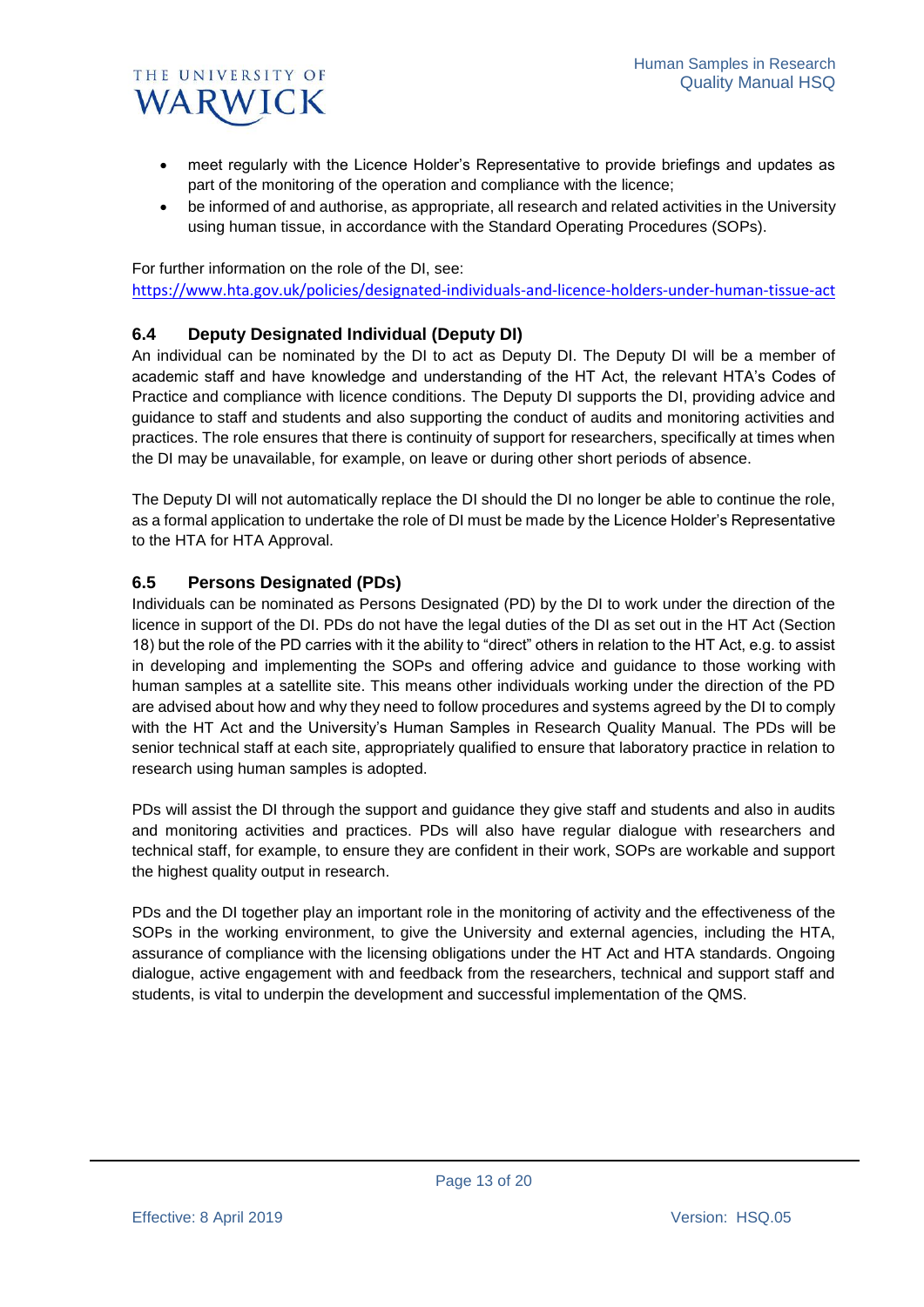

- meet regularly with the Licence Holder's Representative to provide briefings and updates as part of the monitoring of the operation and compliance with the licence;
- be informed of and authorise, as appropriate, all research and related activities in the University using human tissue, in accordance with the Standard Operating Procedures (SOPs).

For further information on the role of the DI, see:

<https://www.hta.gov.uk/policies/designated-individuals-and-licence-holders-under-human-tissue-act>

## **6.4 Deputy Designated Individual (Deputy DI)**

An individual can be nominated by the DI to act as Deputy DI. The Deputy DI will be a member of academic staff and have knowledge and understanding of the HT Act, the relevant HTA's Codes of Practice and compliance with licence conditions. The Deputy DI supports the DI, providing advice and guidance to staff and students and also supporting the conduct of audits and monitoring activities and practices. The role ensures that there is continuity of support for researchers, specifically at times when the DI may be unavailable, for example, on leave or during other short periods of absence.

The Deputy DI will not automatically replace the DI should the DI no longer be able to continue the role, as a formal application to undertake the role of DI must be made by the Licence Holder's Representative to the HTA for HTA Approval.

## **6.5 Persons Designated (PDs)**

Individuals can be nominated as Persons Designated (PD) by the DI to work under the direction of the licence in support of the DI. PDs do not have the legal duties of the DI as set out in the HT Act (Section 18) but the role of the PD carries with it the ability to "direct" others in relation to the HT Act, e.g. to assist in developing and implementing the SOPs and offering advice and guidance to those working with human samples at a satellite site. This means other individuals working under the direction of the PD are advised about how and why they need to follow procedures and systems agreed by the DI to comply with the HT Act and the University's Human Samples in Research Quality Manual. The PDs will be senior technical staff at each site, appropriately qualified to ensure that laboratory practice in relation to research using human samples is adopted.

PDs will assist the DI through the support and guidance they give staff and students and also in audits and monitoring activities and practices. PDs will also have regular dialogue with researchers and technical staff, for example, to ensure they are confident in their work, SOPs are workable and support the highest quality output in research.

PDs and the DI together play an important role in the monitoring of activity and the effectiveness of the SOPs in the working environment, to give the University and external agencies, including the HTA, assurance of compliance with the licensing obligations under the HT Act and HTA standards. Ongoing dialogue, active engagement with and feedback from the researchers, technical and support staff and students, is vital to underpin the development and successful implementation of the QMS.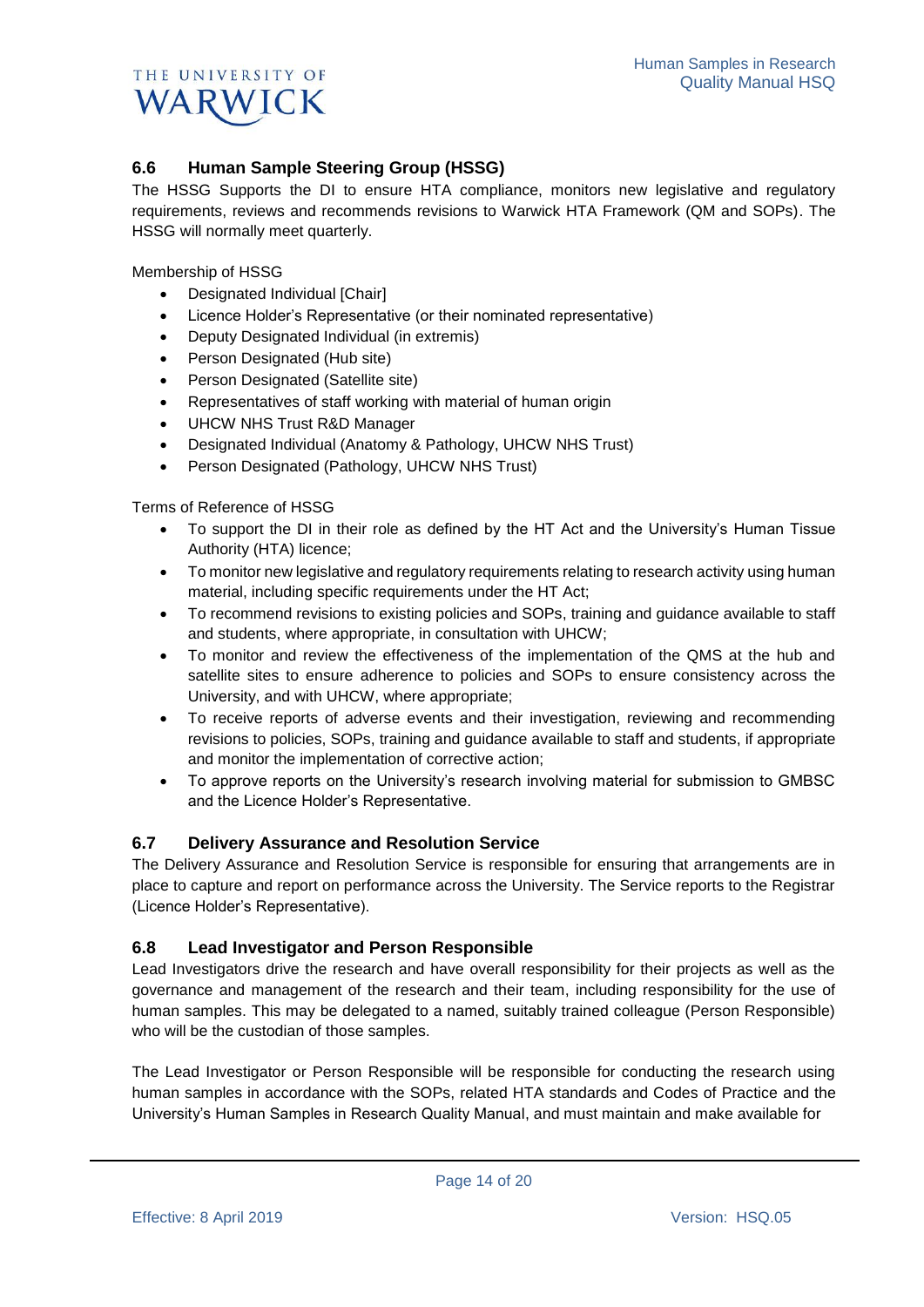

## **6.6 Human Sample Steering Group (HSSG)**

The HSSG Supports the DI to ensure HTA compliance, monitors new legislative and regulatory requirements, reviews and recommends revisions to Warwick HTA Framework (QM and SOPs). The HSSG will normally meet quarterly.

Membership of HSSG

- Designated Individual [Chair]
- Licence Holder's Representative (or their nominated representative)
- Deputy Designated Individual (in extremis)
- Person Designated (Hub site)
- Person Designated (Satellite site)
- Representatives of staff working with material of human origin
- UHCW NHS Trust R&D Manager
- Designated Individual (Anatomy & Pathology, UHCW NHS Trust)
- Person Designated (Pathology, UHCW NHS Trust)

Terms of Reference of HSSG

- To support the DI in their role as defined by the HT Act and the University's Human Tissue Authority (HTA) licence;
- To monitor new legislative and regulatory requirements relating to research activity using human material, including specific requirements under the HT Act;
- To recommend revisions to existing policies and SOPs, training and guidance available to staff and students, where appropriate, in consultation with UHCW;
- To monitor and review the effectiveness of the implementation of the QMS at the hub and satellite sites to ensure adherence to policies and SOPs to ensure consistency across the University, and with UHCW, where appropriate;
- To receive reports of adverse events and their investigation, reviewing and recommending revisions to policies, SOPs, training and guidance available to staff and students, if appropriate and monitor the implementation of corrective action;
- To approve reports on the University's research involving material for submission to GMBSC and the Licence Holder's Representative.

## **6.7 Delivery Assurance and Resolution Service**

The Delivery Assurance and Resolution Service is responsible for ensuring that arrangements are in place to capture and report on performance across the University. The Service reports to the Registrar (Licence Holder's Representative).

### **6.8 Lead Investigator and Person Responsible**

Lead Investigators drive the research and have overall responsibility for their projects as well as the governance and management of the research and their team, including responsibility for the use of human samples. This may be delegated to a named, suitably trained colleague (Person Responsible) who will be the custodian of those samples.

The Lead Investigator or Person Responsible will be responsible for conducting the research using human samples in accordance with the SOPs, related HTA standards and Codes of Practice and the University's Human Samples in Research Quality Manual, and must maintain and make available for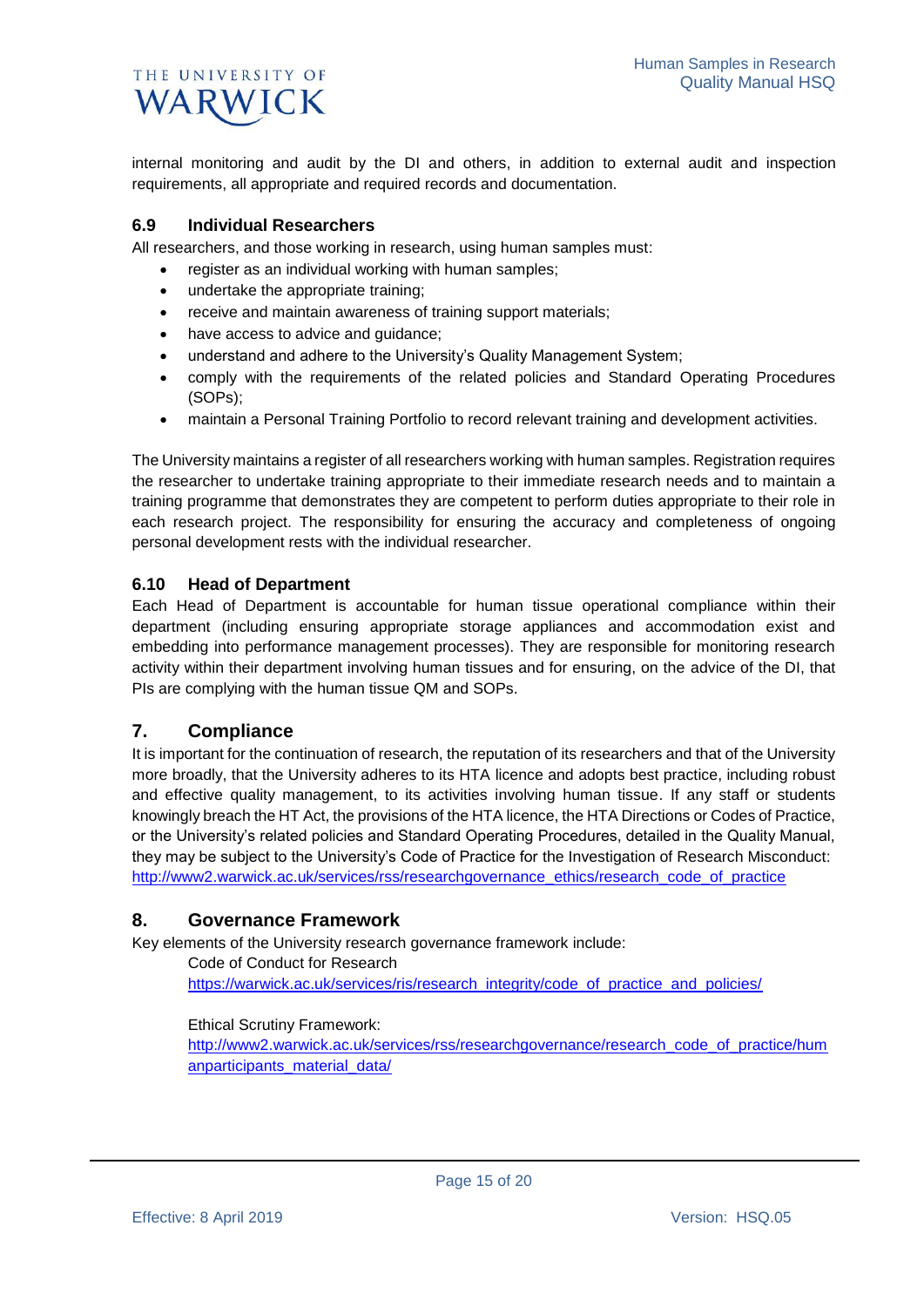internal monitoring and audit by the DI and others, in addition to external audit and inspection requirements, all appropriate and required records and documentation.

### **6.9 Individual Researchers**

All researchers, and those working in research, using human samples must:

- register as an individual working with human samples;
- undertake the appropriate training;
- receive and maintain awareness of training support materials;
- have access to advice and guidance;
- understand and adhere to the University's Quality Management System;
- comply with the requirements of the related policies and Standard Operating Procedures (SOPs);
- maintain a Personal Training Portfolio to record relevant training and development activities.

The University maintains a register of all researchers working with human samples. Registration requires the researcher to undertake training appropriate to their immediate research needs and to maintain a training programme that demonstrates they are competent to perform duties appropriate to their role in each research project. The responsibility for ensuring the accuracy and completeness of ongoing personal development rests with the individual researcher.

### **6.10 Head of Department**

Each Head of Department is accountable for human tissue operational compliance within their department (including ensuring appropriate storage appliances and accommodation exist and embedding into performance management processes). They are responsible for monitoring research activity within their department involving human tissues and for ensuring, on the advice of the DI, that PIs are complying with the human tissue QM and SOPs.

## **7. Compliance**

It is important for the continuation of research, the reputation of its researchers and that of the University more broadly, that the University adheres to its HTA licence and adopts best practice, including robust and effective quality management, to its activities involving human tissue. If any staff or students knowingly breach the HT Act, the provisions of the HTA licence, the HTA Directions or Codes of Practice, or the University's related policies and Standard Operating Procedures, detailed in the Quality Manual, they may be subject to the University's Code of Practice for the Investigation of Research Misconduct: [http://www2.warwick.ac.uk/services/rss/researchgovernance\\_ethics/research\\_code\\_of\\_practice](http://www2.warwick.ac.uk/services/rss/researchgovernance_ethics/research_code_of_practice)

## **8. Governance Framework**

Key elements of the University research governance framework include:

Code of Conduct for Research [https://warwick.ac.uk/services/ris/research\\_integrity/code\\_of\\_practice\\_and\\_policies/](https://warwick.ac.uk/services/ris/research_integrity/code_of_practice_and_policies/)

#### Ethical Scrutiny Framework:

[http://www2.warwick.ac.uk/services/rss/researchgovernance/research\\_code\\_of\\_practice/hum](http://www2.warwick.ac.uk/services/rss/researchgovernance/research_code_of_practice/humanparticipants_material_data/) [anparticipants\\_material\\_data/](http://www2.warwick.ac.uk/services/rss/researchgovernance/research_code_of_practice/humanparticipants_material_data/)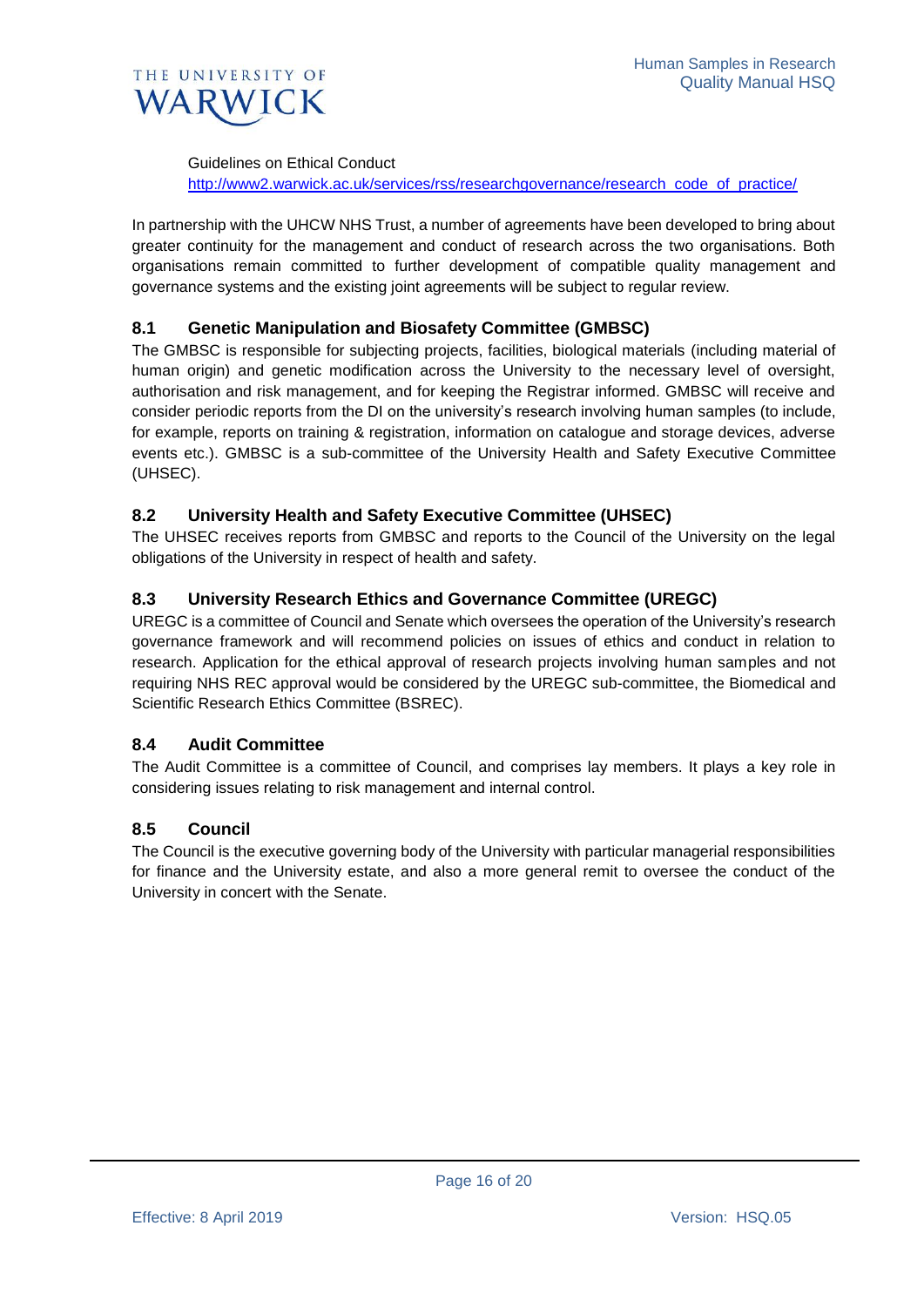

Guidelines on Ethical Conduct

[http://www2.warwick.ac.uk/services/rss/researchgovernance/research\\_code\\_of\\_practice/](http://www2.warwick.ac.uk/services/rss/researchgovernance/research_code_of_practice/)

In partnership with the UHCW NHS Trust, a number of agreements have been developed to bring about greater continuity for the management and conduct of research across the two organisations. Both organisations remain committed to further development of compatible quality management and governance systems and the existing joint agreements will be subject to regular review.

## **8.1 Genetic Manipulation and Biosafety Committee (GMBSC)**

The GMBSC is responsible for subjecting projects, facilities, biological materials (including material of human origin) and genetic modification across the University to the necessary level of oversight, authorisation and risk management, and for keeping the Registrar informed. GMBSC will receive and consider periodic reports from the DI on the university's research involving human samples (to include, for example, reports on training & registration, information on catalogue and storage devices, adverse events etc.). GMBSC is a sub-committee of the University Health and Safety Executive Committee (UHSEC).

### **8.2 University Health and Safety Executive Committee (UHSEC)**

The UHSEC receives reports from GMBSC and reports to the Council of the University on the legal obligations of the University in respect of health and safety.

### **8.3 University Research Ethics and Governance Committee (UREGC)**

UREGC is a committee of Council and Senate which oversees the operation of the University's research governance framework and will recommend policies on issues of ethics and conduct in relation to research. Application for the ethical approval of research projects involving human samples and not requiring NHS REC approval would be considered by the UREGC sub-committee, the Biomedical and Scientific Research Ethics Committee (BSREC).

### **8.4 Audit Committee**

The Audit Committee is a committee of Council, and comprises lay members. It plays a key role in considering issues relating to risk management and internal control.

### **8.5 Council**

The Council is the executive governing body of the University with particular managerial responsibilities for finance and the University estate, and also a more general remit to oversee the conduct of the University in concert with the Senate.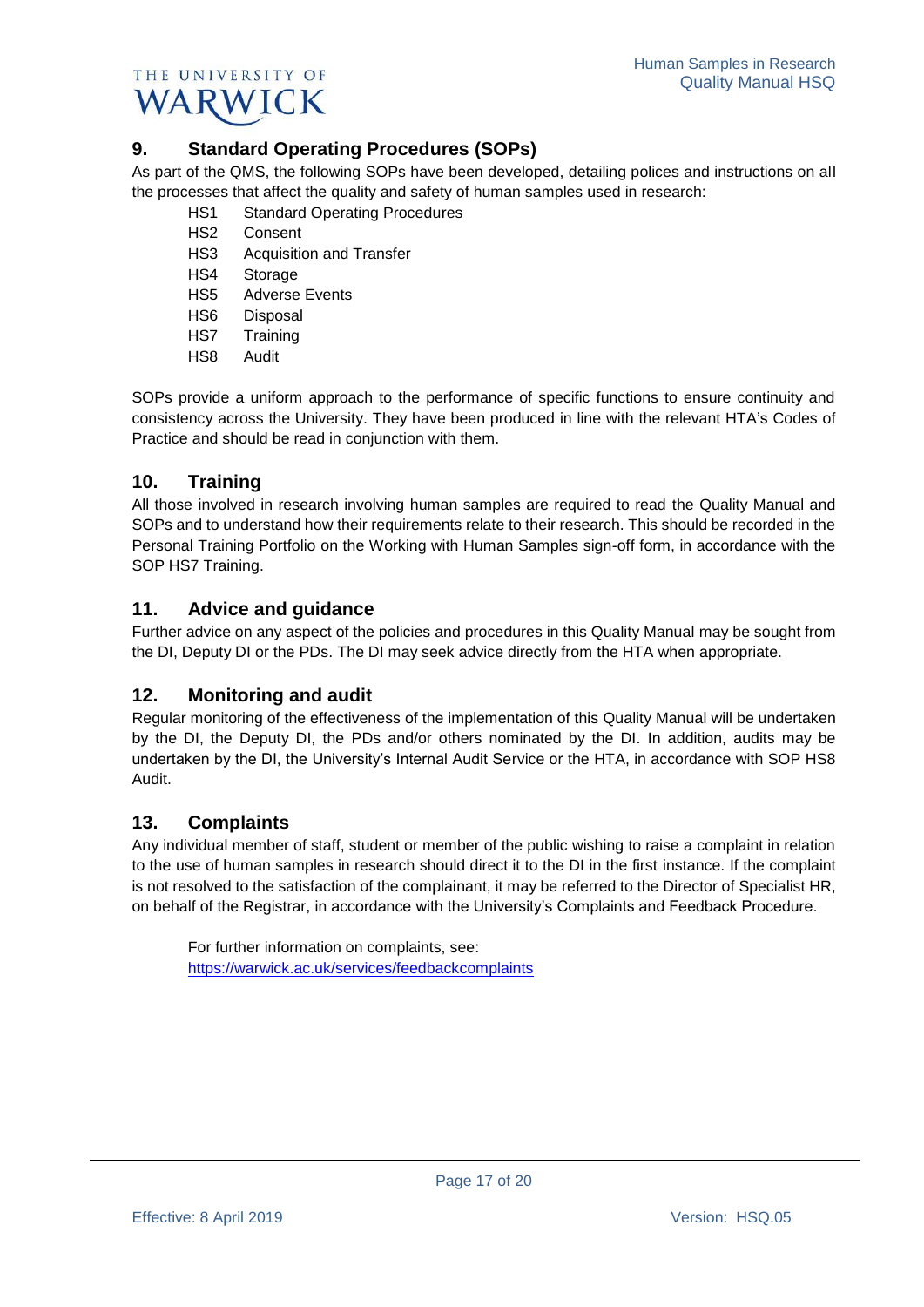

# **9. Standard Operating Procedures (SOPs)**

As part of the QMS, the following SOPs have been developed, detailing polices and instructions on all the processes that affect the quality and safety of human samples used in research:

- HS1 Standard Operating Procedures
- HS2 Consent
- HS3 Acquisition and Transfer
- HS4 Storage
- HS5 Adverse Events
- HS6 Disposal
- HS7 Training
- HS8 Audit

SOPs provide a uniform approach to the performance of specific functions to ensure continuity and consistency across the University. They have been produced in line with the relevant HTA's Codes of Practice and should be read in conjunction with them.

# **10. Training**

All those involved in research involving human samples are required to read the Quality Manual and SOPs and to understand how their requirements relate to their research. This should be recorded in the Personal Training Portfolio on the Working with Human Samples sign-off form, in accordance with the SOP HS7 Training.

# **11. Advice and guidance**

Further advice on any aspect of the policies and procedures in this Quality Manual may be sought from the DI, Deputy DI or the PDs. The DI may seek advice directly from the HTA when appropriate.

# **12. Monitoring and audit**

Regular monitoring of the effectiveness of the implementation of this Quality Manual will be undertaken by the DI, the Deputy DI, the PDs and/or others nominated by the DI. In addition, audits may be undertaken by the DI, the University's Internal Audit Service or the HTA, in accordance with SOP HS8 Audit.

# **13. Complaints**

Any individual member of staff, student or member of the public wishing to raise a complaint in relation to the use of human samples in research should direct it to the DI in the first instance. If the complaint is not resolved to the satisfaction of the complainant, it may be referred to the Director of Specialist HR, on behalf of the Registrar, in accordance with the University's Complaints and Feedback Procedure.

For further information on complaints, see: <https://warwick.ac.uk/services/feedbackcomplaints>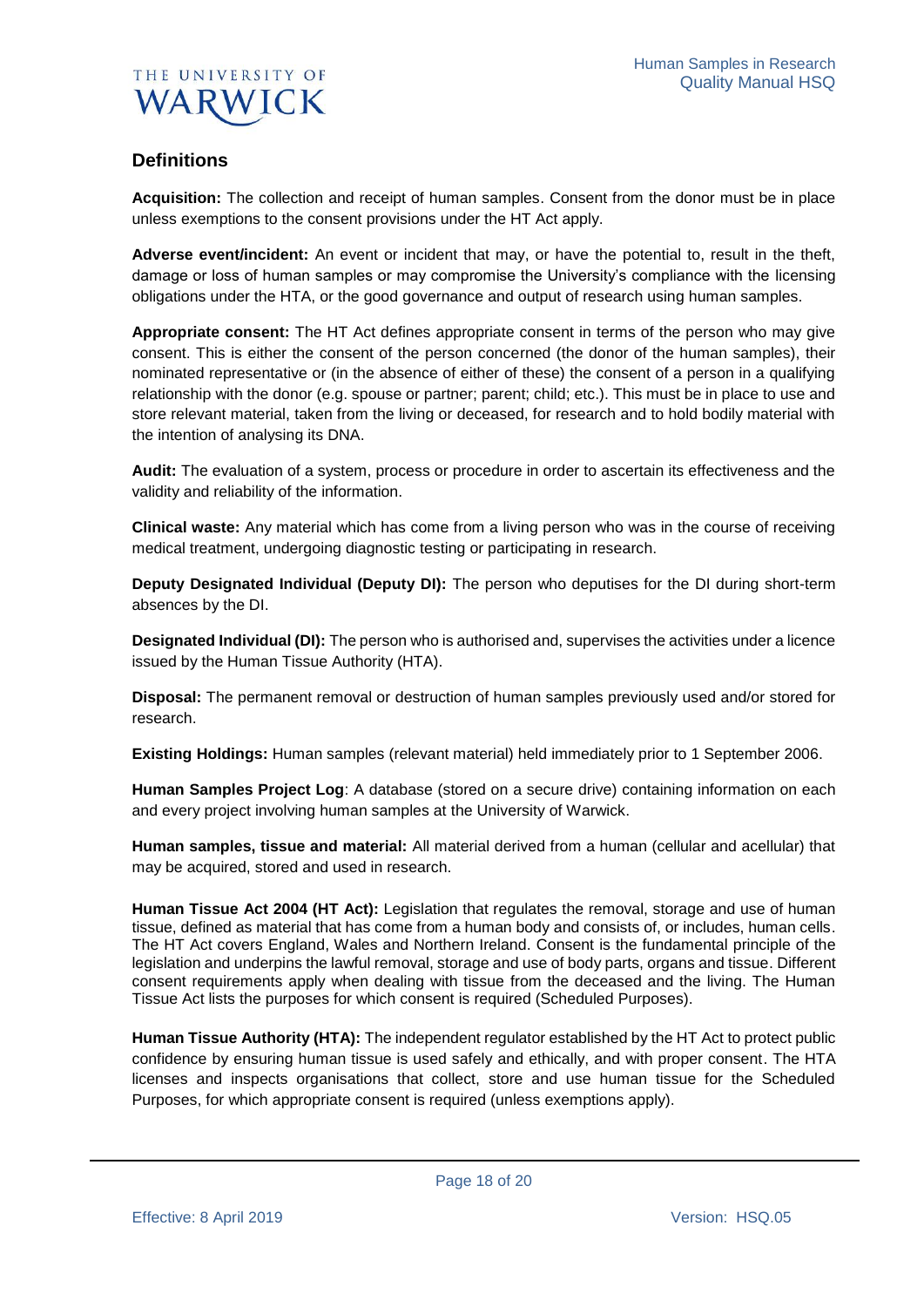

# **Definitions**

**Acquisition:** The collection and receipt of human samples. Consent from the donor must be in place unless exemptions to the consent provisions under the HT Act apply.

**Adverse event/incident:** An event or incident that may, or have the potential to, result in the theft, damage or loss of human samples or may compromise the University's compliance with the licensing obligations under the HTA, or the good governance and output of research using human samples.

**Appropriate consent:** The HT Act defines appropriate consent in terms of the person who may give consent. This is either the consent of the person concerned (the donor of the human samples), their nominated representative or (in the absence of either of these) the consent of a person in a qualifying relationship with the donor (e.g. spouse or partner; parent; child; etc.). This must be in place to use and store relevant material, taken from the living or deceased, for research and to hold bodily material with the intention of analysing its DNA.

**Audit:** The evaluation of a system, process or procedure in order to ascertain its effectiveness and the validity and reliability of the information.

**Clinical waste:** Any material which has come from a living person who was in the course of receiving medical treatment, undergoing diagnostic testing or participating in research.

**Deputy Designated Individual (Deputy DI):** The person who deputises for the DI during short-term absences by the DI.

**Designated Individual (DI):** The person who is authorised and, supervises the activities under a licence issued by the Human Tissue Authority (HTA).

**Disposal:** The permanent removal or destruction of human samples previously used and/or stored for research.

**Existing Holdings:** Human samples (relevant material) held immediately prior to 1 September 2006.

**Human Samples Project Log**: A database (stored on a secure drive) containing information on each and every project involving human samples at the University of Warwick.

**Human samples, tissue and material:** All material derived from a human (cellular and acellular) that may be acquired, stored and used in research.

**Human Tissue Act 2004 (HT Act):** Legislation that regulates the removal, storage and use of human tissue, defined as material that has come from a human body and consists of, or includes, human cells. The HT Act covers England, Wales and Northern Ireland. Consent is the fundamental principle of the legislation and underpins the lawful removal, storage and use of body parts, organs and tissue. Different consent requirements apply when dealing with tissue from the deceased and the living. The Human Tissue Act lists the purposes for which consent is required (Scheduled Purposes).

**Human Tissue Authority (HTA):** The independent regulator established by the HT Act to protect public confidence by ensuring human tissue is used safely and ethically, and with proper consent. The HTA licenses and inspects organisations that collect, store and use human tissue for the Scheduled Purposes, for which appropriate consent is required (unless exemptions apply).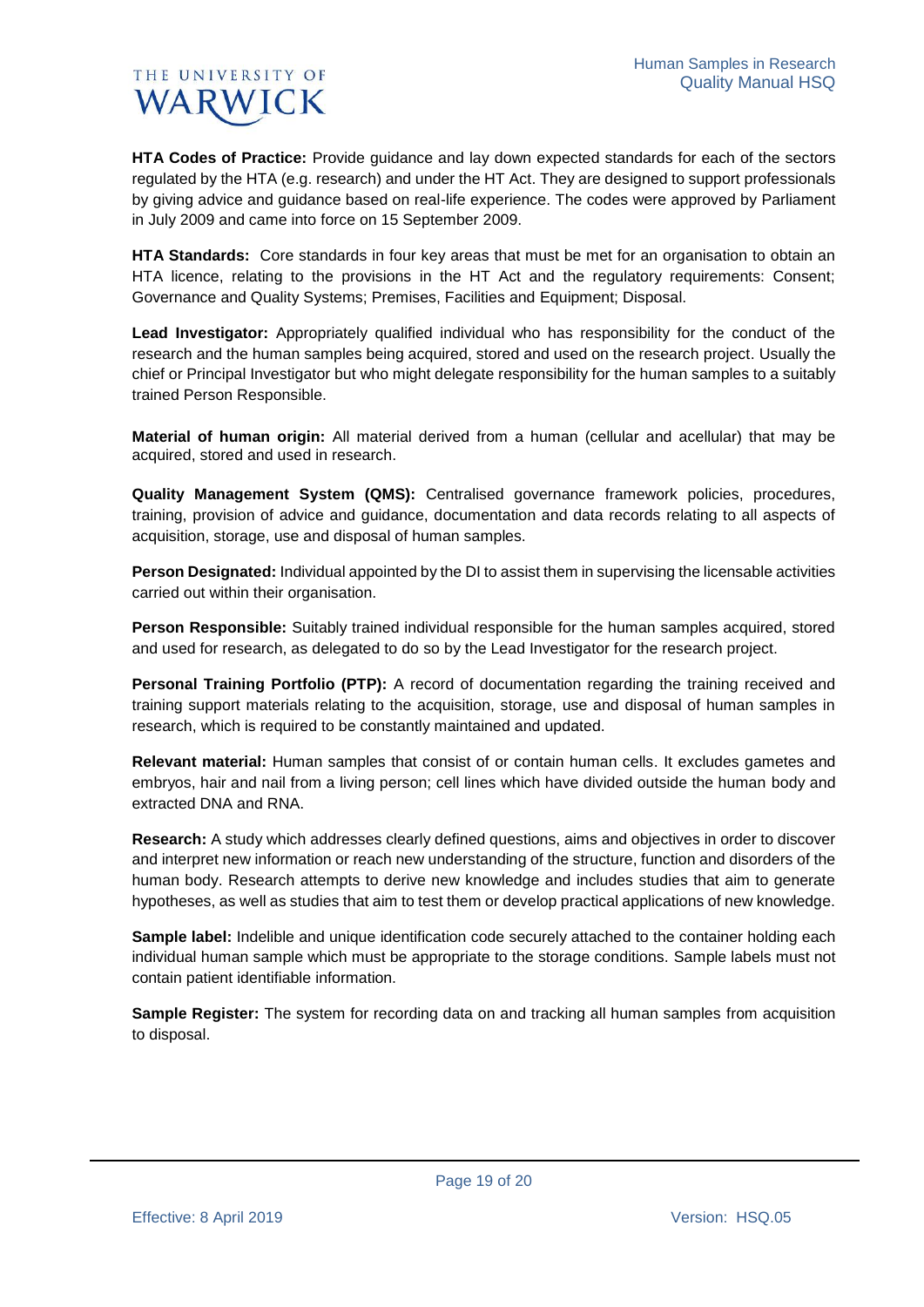**HTA Codes of Practice:** Provide guidance and lay down expected standards for each of the sectors regulated by the HTA (e.g. research) and under the HT Act. They are designed to support professionals by giving advice and guidance based on real-life experience. The codes were approved by Parliament in July 2009 and came into force on 15 September 2009.

**HTA Standards:** Core standards in four key areas that must be met for an organisation to obtain an HTA licence, relating to the provisions in the HT Act and the regulatory requirements: Consent; Governance and Quality Systems; Premises, Facilities and Equipment; Disposal.

**Lead Investigator:** Appropriately qualified individual who has responsibility for the conduct of the research and the human samples being acquired, stored and used on the research project. Usually the chief or Principal Investigator but who might delegate responsibility for the human samples to a suitably trained Person Responsible.

**Material of human origin:** All material derived from a human (cellular and acellular) that may be acquired, stored and used in research.

**Quality Management System (QMS):** Centralised governance framework policies, procedures, training, provision of advice and guidance, documentation and data records relating to all aspects of acquisition, storage, use and disposal of human samples.

**Person Designated:** Individual appointed by the DI to assist them in supervising the licensable activities carried out within their organisation.

**Person Responsible:** Suitably trained individual responsible for the human samples acquired, stored and used for research, as delegated to do so by the Lead Investigator for the research project.

**Personal Training Portfolio (PTP):** A record of documentation regarding the training received and training support materials relating to the acquisition, storage, use and disposal of human samples in research, which is required to be constantly maintained and updated.

**Relevant material:** Human samples that consist of or contain human cells. It excludes gametes and embryos, hair and nail from a living person; cell lines which have divided outside the human body and extracted DNA and RNA.

**Research:** A study which addresses clearly defined questions, aims and objectives in order to discover and interpret new information or reach new understanding of the structure, function and disorders of the human body. Research attempts to derive new knowledge and includes studies that aim to generate hypotheses, as well as studies that aim to test them or develop practical applications of new knowledge.

**Sample label:** Indelible and unique identification code securely attached to the container holding each individual human sample which must be appropriate to the storage conditions. Sample labels must not contain patient identifiable information.

**Sample Register:** The system for recording data on and tracking all human samples from acquisition to disposal.